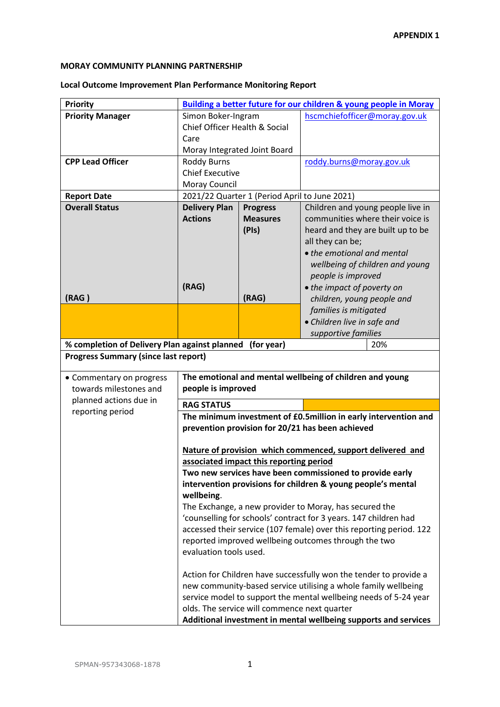## **MORAY COMMUNITY PLANNING PARTNERSHIP**

## **Local Outcome Improvement Plan Performance Monitoring Report**

| <b>Priority</b>                               | <b>Building a better future for our children &amp; young people in Moray</b>                                                                                                                                                                            |                                         |                                                              |                                                                 |
|-----------------------------------------------|---------------------------------------------------------------------------------------------------------------------------------------------------------------------------------------------------------------------------------------------------------|-----------------------------------------|--------------------------------------------------------------|-----------------------------------------------------------------|
| <b>Priority Manager</b>                       | Simon Boker-Ingram                                                                                                                                                                                                                                      |                                         | hscmchiefofficer@moray.gov.uk                                |                                                                 |
|                                               | Chief Officer Health & Social                                                                                                                                                                                                                           |                                         |                                                              |                                                                 |
|                                               | Care                                                                                                                                                                                                                                                    |                                         |                                                              |                                                                 |
|                                               | Moray Integrated Joint Board                                                                                                                                                                                                                            |                                         |                                                              |                                                                 |
| <b>CPP Lead Officer</b>                       | <b>Roddy Burns</b>                                                                                                                                                                                                                                      |                                         | roddy.burns@moray.gov.uk                                     |                                                                 |
|                                               | <b>Chief Executive</b>                                                                                                                                                                                                                                  |                                         |                                                              |                                                                 |
|                                               | Moray Council                                                                                                                                                                                                                                           |                                         |                                                              |                                                                 |
| <b>Report Date</b>                            | 2021/22 Quarter 1 (Period April to June 2021)                                                                                                                                                                                                           |                                         |                                                              |                                                                 |
| <b>Overall Status</b>                         | <b>Delivery Plan</b>                                                                                                                                                                                                                                    | <b>Progress</b>                         | Children and young people live in                            |                                                                 |
|                                               | <b>Actions</b>                                                                                                                                                                                                                                          | <b>Measures</b>                         |                                                              | communities where their voice is                                |
|                                               |                                                                                                                                                                                                                                                         | (PIs)                                   |                                                              | heard and they are built up to be                               |
|                                               |                                                                                                                                                                                                                                                         |                                         | all they can be;                                             |                                                                 |
|                                               |                                                                                                                                                                                                                                                         |                                         | • the emotional and mental                                   |                                                                 |
|                                               |                                                                                                                                                                                                                                                         |                                         |                                                              | wellbeing of children and young                                 |
|                                               |                                                                                                                                                                                                                                                         |                                         | people is improved                                           |                                                                 |
| (RAG)                                         | (RAG)                                                                                                                                                                                                                                                   | (RAG)                                   | • the impact of poverty on                                   |                                                                 |
|                                               |                                                                                                                                                                                                                                                         |                                         | children, young people and                                   |                                                                 |
|                                               |                                                                                                                                                                                                                                                         |                                         | families is mitigated                                        |                                                                 |
|                                               |                                                                                                                                                                                                                                                         |                                         | • Children live in safe and                                  |                                                                 |
| % completion of Delivery Plan against planned | supportive families                                                                                                                                                                                                                                     |                                         | 20%                                                          |                                                                 |
| <b>Progress Summary (since last report)</b>   |                                                                                                                                                                                                                                                         | (for year)                              |                                                              |                                                                 |
|                                               |                                                                                                                                                                                                                                                         |                                         |                                                              |                                                                 |
| • Commentary on progress                      |                                                                                                                                                                                                                                                         |                                         | The emotional and mental wellbeing of children and young     |                                                                 |
| towards milestones and                        | people is improved                                                                                                                                                                                                                                      |                                         |                                                              |                                                                 |
| planned actions due in                        | <b>RAG STATUS</b>                                                                                                                                                                                                                                       |                                         |                                                              |                                                                 |
| reporting period                              |                                                                                                                                                                                                                                                         |                                         |                                                              | The minimum investment of £0.5million in early intervention and |
|                                               |                                                                                                                                                                                                                                                         |                                         | prevention provision for 20/21 has been achieved             |                                                                 |
|                                               |                                                                                                                                                                                                                                                         |                                         |                                                              |                                                                 |
|                                               | Nature of provision which commenced, support delivered and                                                                                                                                                                                              |                                         |                                                              |                                                                 |
|                                               |                                                                                                                                                                                                                                                         | associated impact this reporting period |                                                              |                                                                 |
|                                               | Two new services have been commissioned to provide early                                                                                                                                                                                                |                                         |                                                              |                                                                 |
|                                               |                                                                                                                                                                                                                                                         |                                         | intervention provisions for children & young people's mental |                                                                 |
|                                               | wellbeing.                                                                                                                                                                                                                                              |                                         |                                                              |                                                                 |
|                                               | The Exchange, a new provider to Moray, has secured the                                                                                                                                                                                                  |                                         |                                                              |                                                                 |
|                                               | 'counselling for schools' contract for 3 years. 147 children had                                                                                                                                                                                        |                                         |                                                              |                                                                 |
|                                               | accessed their service (107 female) over this reporting period. 122                                                                                                                                                                                     |                                         |                                                              |                                                                 |
|                                               | reported improved wellbeing outcomes through the two                                                                                                                                                                                                    |                                         |                                                              |                                                                 |
|                                               | evaluation tools used.                                                                                                                                                                                                                                  |                                         |                                                              |                                                                 |
|                                               |                                                                                                                                                                                                                                                         |                                         |                                                              |                                                                 |
|                                               | Action for Children have successfully won the tender to provide a<br>new community-based service utilising a whole family wellbeing<br>service model to support the mental wellbeing needs of 5-24 year<br>olds. The service will commence next quarter |                                         |                                                              |                                                                 |
|                                               |                                                                                                                                                                                                                                                         |                                         |                                                              |                                                                 |
|                                               |                                                                                                                                                                                                                                                         |                                         |                                                              |                                                                 |
|                                               | Additional investment in mental wellbeing supports and services                                                                                                                                                                                         |                                         |                                                              |                                                                 |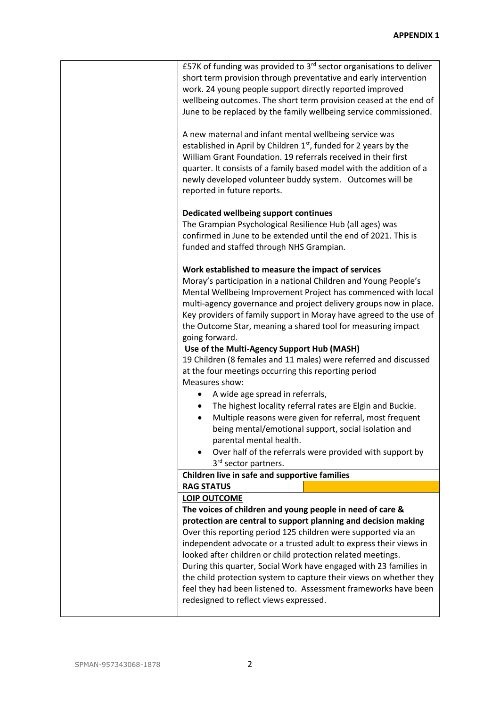| £57K of funding was provided to $3rd$ sector organisations to deliver<br>short term provision through preventative and early intervention<br>work. 24 young people support directly reported improved<br>wellbeing outcomes. The short term provision ceased at the end of<br>June to be replaced by the family wellbeing service commissioned.                                                                                                                                                                                                                                          |
|------------------------------------------------------------------------------------------------------------------------------------------------------------------------------------------------------------------------------------------------------------------------------------------------------------------------------------------------------------------------------------------------------------------------------------------------------------------------------------------------------------------------------------------------------------------------------------------|
| A new maternal and infant mental wellbeing service was<br>established in April by Children 1st, funded for 2 years by the<br>William Grant Foundation. 19 referrals received in their first<br>quarter. It consists of a family based model with the addition of a<br>newly developed volunteer buddy system. Outcomes will be<br>reported in future reports.                                                                                                                                                                                                                            |
| Dedicated wellbeing support continues<br>The Grampian Psychological Resilience Hub (all ages) was<br>confirmed in June to be extended until the end of 2021. This is<br>funded and staffed through NHS Grampian.                                                                                                                                                                                                                                                                                                                                                                         |
| Work established to measure the impact of services<br>Moray's participation in a national Children and Young People's<br>Mental Wellbeing Improvement Project has commenced with local<br>multi-agency governance and project delivery groups now in place.<br>Key providers of family support in Moray have agreed to the use of<br>the Outcome Star, meaning a shared tool for measuring impact<br>going forward.                                                                                                                                                                      |
| Use of the Multi-Agency Support Hub (MASH)<br>19 Children (8 females and 11 males) were referred and discussed<br>at the four meetings occurring this reporting period<br>Measures show:                                                                                                                                                                                                                                                                                                                                                                                                 |
| A wide age spread in referrals,<br>٠<br>The highest locality referral rates are Elgin and Buckie.<br>Multiple reasons were given for referral, most frequent<br>$\bullet$<br>being mental/emotional support, social isolation and<br>parental mental health.<br>Over half of the referrals were provided with support by<br>3 <sup>rd</sup> sector partners.                                                                                                                                                                                                                             |
| Children live in safe and supportive families                                                                                                                                                                                                                                                                                                                                                                                                                                                                                                                                            |
| <b>RAG STATUS</b>                                                                                                                                                                                                                                                                                                                                                                                                                                                                                                                                                                        |
| <b>LOIP OUTCOME</b>                                                                                                                                                                                                                                                                                                                                                                                                                                                                                                                                                                      |
| The voices of children and young people in need of care &<br>protection are central to support planning and decision making<br>Over this reporting period 125 children were supported via an<br>independent advocate or a trusted adult to express their views in<br>looked after children or child protection related meetings.<br>During this quarter, Social Work have engaged with 23 families in<br>the child protection system to capture their views on whether they<br>feel they had been listened to. Assessment frameworks have been<br>redesigned to reflect views expressed. |
|                                                                                                                                                                                                                                                                                                                                                                                                                                                                                                                                                                                          |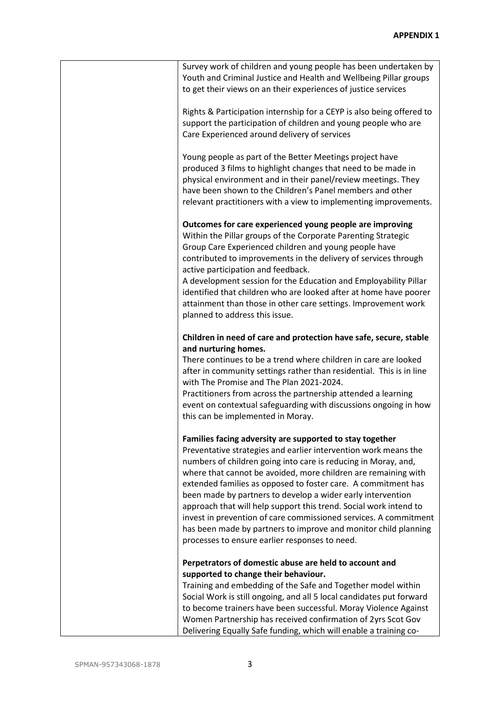| Survey work of children and young people has been undertaken by<br>Youth and Criminal Justice and Health and Wellbeing Pillar groups<br>to get their views on an their experiences of justice services                                                                                                                                                                                                                                                                                                                                                                                                                                                        |
|---------------------------------------------------------------------------------------------------------------------------------------------------------------------------------------------------------------------------------------------------------------------------------------------------------------------------------------------------------------------------------------------------------------------------------------------------------------------------------------------------------------------------------------------------------------------------------------------------------------------------------------------------------------|
| Rights & Participation internship for a CEYP is also being offered to<br>support the participation of children and young people who are<br>Care Experienced around delivery of services                                                                                                                                                                                                                                                                                                                                                                                                                                                                       |
| Young people as part of the Better Meetings project have<br>produced 3 films to highlight changes that need to be made in<br>physical environment and in their panel/review meetings. They<br>have been shown to the Children's Panel members and other<br>relevant practitioners with a view to implementing improvements.                                                                                                                                                                                                                                                                                                                                   |
| Outcomes for care experienced young people are improving<br>Within the Pillar groups of the Corporate Parenting Strategic<br>Group Care Experienced children and young people have<br>contributed to improvements in the delivery of services through<br>active participation and feedback.<br>A development session for the Education and Employability Pillar<br>identified that children who are looked after at home have poorer<br>attainment than those in other care settings. Improvement work<br>planned to address this issue.                                                                                                                      |
| Children in need of care and protection have safe, secure, stable<br>and nurturing homes.<br>There continues to be a trend where children in care are looked<br>after in community settings rather than residential. This is in line<br>with The Promise and The Plan 2021-2024.<br>Practitioners from across the partnership attended a learning<br>event on contextual safeguarding with discussions ongoing in how<br>this can be implemented in Moray.                                                                                                                                                                                                    |
| Families facing adversity are supported to stay together<br>Preventative strategies and earlier intervention work means the<br>numbers of children going into care is reducing in Moray, and,<br>where that cannot be avoided, more children are remaining with<br>extended families as opposed to foster care. A commitment has<br>been made by partners to develop a wider early intervention<br>approach that will help support this trend. Social work intend to<br>invest in prevention of care commissioned services. A commitment<br>has been made by partners to improve and monitor child planning<br>processes to ensure earlier responses to need. |
| Perpetrators of domestic abuse are held to account and<br>supported to change their behaviour.<br>Training and embedding of the Safe and Together model within<br>Social Work is still ongoing, and all 5 local candidates put forward<br>to become trainers have been successful. Moray Violence Against<br>Women Partnership has received confirmation of 2yrs Scot Gov<br>Delivering Equally Safe funding, which will enable a training co-                                                                                                                                                                                                                |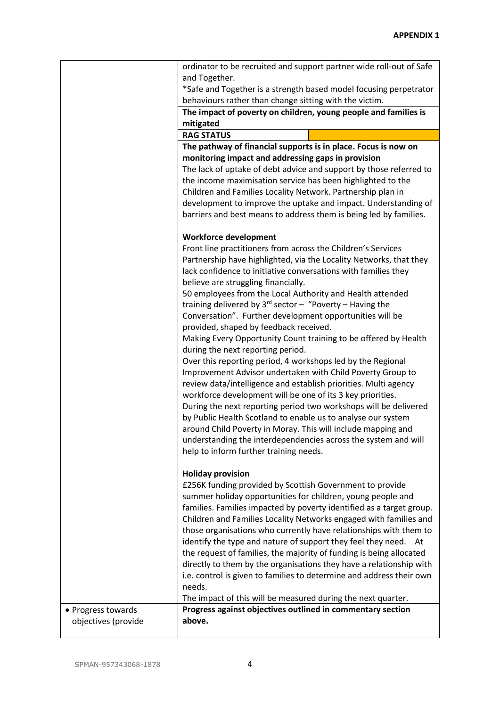|                                           | ordinator to be recruited and support partner wide roll-out of Safe                                                              |
|-------------------------------------------|----------------------------------------------------------------------------------------------------------------------------------|
|                                           | and Together.                                                                                                                    |
|                                           | *Safe and Together is a strength based model focusing perpetrator                                                                |
|                                           | behaviours rather than change sitting with the victim.                                                                           |
|                                           | The impact of poverty on children, young people and families is<br>mitigated                                                     |
|                                           | <b>RAG STATUS</b>                                                                                                                |
|                                           | The pathway of financial supports is in place. Focus is now on                                                                   |
|                                           | monitoring impact and addressing gaps in provision                                                                               |
|                                           | The lack of uptake of debt advice and support by those referred to                                                               |
|                                           | the income maximisation service has been highlighted to the                                                                      |
|                                           | Children and Families Locality Network. Partnership plan in                                                                      |
|                                           | development to improve the uptake and impact. Understanding of                                                                   |
|                                           | barriers and best means to address them is being led by families.                                                                |
|                                           | <b>Workforce development</b>                                                                                                     |
|                                           | Front line practitioners from across the Children's Services                                                                     |
|                                           | Partnership have highlighted, via the Locality Networks, that they                                                               |
|                                           | lack confidence to initiative conversations with families they                                                                   |
|                                           | believe are struggling financially.                                                                                              |
|                                           | 50 employees from the Local Authority and Health attended                                                                        |
|                                           | training delivered by $3^{rd}$ sector - "Poverty - Having the<br>Conversation". Further development opportunities will be        |
|                                           | provided, shaped by feedback received.                                                                                           |
|                                           | Making Every Opportunity Count training to be offered by Health                                                                  |
|                                           | during the next reporting period.                                                                                                |
|                                           | Over this reporting period, 4 workshops led by the Regional                                                                      |
|                                           | Improvement Advisor undertaken with Child Poverty Group to                                                                       |
|                                           | review data/intelligence and establish priorities. Multi agency                                                                  |
|                                           | workforce development will be one of its 3 key priorities.                                                                       |
|                                           | During the next reporting period two workshops will be delivered<br>by Public Health Scotland to enable us to analyse our system |
|                                           | around Child Poverty in Moray. This will include mapping and                                                                     |
|                                           | understanding the interdependencies across the system and will                                                                   |
|                                           | help to inform further training needs.                                                                                           |
|                                           |                                                                                                                                  |
|                                           | <b>Holiday provision</b>                                                                                                         |
|                                           | £256K funding provided by Scottish Government to provide<br>summer holiday opportunities for children, young people and          |
|                                           | families. Families impacted by poverty identified as a target group.                                                             |
|                                           | Children and Families Locality Networks engaged with families and                                                                |
|                                           | those organisations who currently have relationships with them to                                                                |
|                                           | identify the type and nature of support they feel they need. At                                                                  |
|                                           | the request of families, the majority of funding is being allocated                                                              |
|                                           | directly to them by the organisations they have a relationship with                                                              |
|                                           | i.e. control is given to families to determine and address their own                                                             |
|                                           | needs.                                                                                                                           |
|                                           | The impact of this will be measured during the next quarter.<br>Progress against objectives outlined in commentary section       |
| • Progress towards<br>objectives (provide | above.                                                                                                                           |
|                                           |                                                                                                                                  |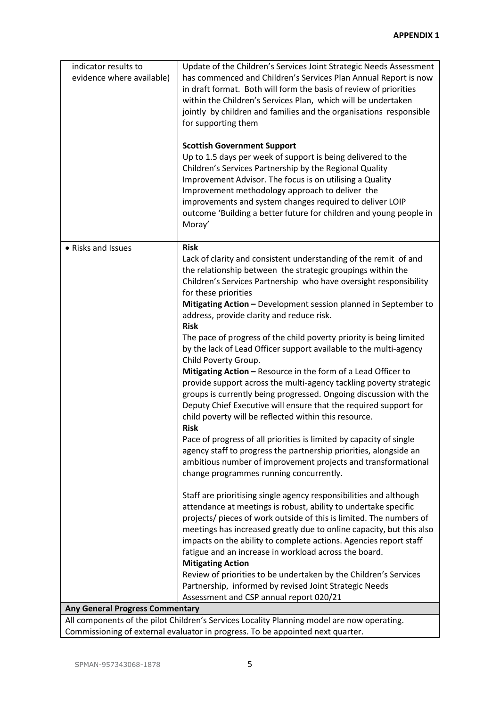| indicator results to<br>evidence where available) | Update of the Children's Services Joint Strategic Needs Assessment<br>has commenced and Children's Services Plan Annual Report is now<br>in draft format. Both will form the basis of review of priorities<br>within the Children's Services Plan, which will be undertaken<br>jointly by children and families and the organisations responsible<br>for supporting them<br><b>Scottish Government Support</b><br>Up to 1.5 days per week of support is being delivered to the<br>Children's Services Partnership by the Regional Quality<br>Improvement Advisor. The focus is on utilising a Quality<br>Improvement methodology approach to deliver the                                                                                                                                                                                                                                                                                                                                                                                                                                                                                                                                                                             |
|---------------------------------------------------|--------------------------------------------------------------------------------------------------------------------------------------------------------------------------------------------------------------------------------------------------------------------------------------------------------------------------------------------------------------------------------------------------------------------------------------------------------------------------------------------------------------------------------------------------------------------------------------------------------------------------------------------------------------------------------------------------------------------------------------------------------------------------------------------------------------------------------------------------------------------------------------------------------------------------------------------------------------------------------------------------------------------------------------------------------------------------------------------------------------------------------------------------------------------------------------------------------------------------------------|
|                                                   | improvements and system changes required to deliver LOIP<br>outcome 'Building a better future for children and young people in<br>Moray'                                                                                                                                                                                                                                                                                                                                                                                                                                                                                                                                                                                                                                                                                                                                                                                                                                                                                                                                                                                                                                                                                             |
| • Risks and Issues                                | <b>Risk</b><br>Lack of clarity and consistent understanding of the remit of and<br>the relationship between the strategic groupings within the<br>Children's Services Partnership who have oversight responsibility<br>for these priorities<br>Mitigating Action - Development session planned in September to<br>address, provide clarity and reduce risk.<br><b>Risk</b><br>The pace of progress of the child poverty priority is being limited<br>by the lack of Lead Officer support available to the multi-agency<br>Child Poverty Group.<br>Mitigating Action - Resource in the form of a Lead Officer to<br>provide support across the multi-agency tackling poverty strategic<br>groups is currently being progressed. Ongoing discussion with the<br>Deputy Chief Executive will ensure that the required support for<br>child poverty will be reflected within this resource.<br><b>Risk</b><br>Pace of progress of all priorities is limited by capacity of single<br>agency staff to progress the partnership priorities, alongside an<br>ambitious number of improvement projects and transformational<br>change programmes running concurrently.<br>Staff are prioritising single agency responsibilities and although |
|                                                   | attendance at meetings is robust, ability to undertake specific<br>projects/ pieces of work outside of this is limited. The numbers of<br>meetings has increased greatly due to online capacity, but this also<br>impacts on the ability to complete actions. Agencies report staff<br>fatigue and an increase in workload across the board.<br><b>Mitigating Action</b><br>Review of priorities to be undertaken by the Children's Services                                                                                                                                                                                                                                                                                                                                                                                                                                                                                                                                                                                                                                                                                                                                                                                         |
|                                                   | Partnership, informed by revised Joint Strategic Needs<br>Assessment and CSP annual report 020/21                                                                                                                                                                                                                                                                                                                                                                                                                                                                                                                                                                                                                                                                                                                                                                                                                                                                                                                                                                                                                                                                                                                                    |
| <b>Any General Progress Commentary</b>            | All components of the pilot Children's Services Locality Planning model are now operating                                                                                                                                                                                                                                                                                                                                                                                                                                                                                                                                                                                                                                                                                                                                                                                                                                                                                                                                                                                                                                                                                                                                            |

All components of the pilot Children's Services Locality Planning model are now operating. Commissioning of external evaluator in progress. To be appointed next quarter.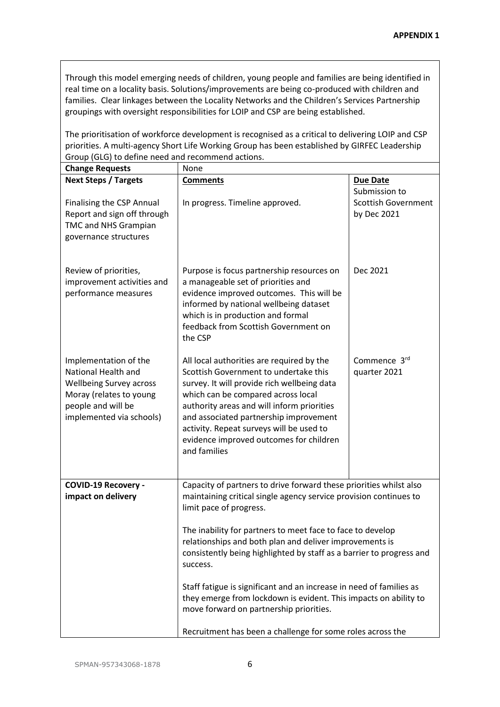Through this model emerging needs of children, young people and families are being identified in real time on a locality basis. Solutions/improvements are being co-produced with children and families. Clear linkages between the Locality Networks and the Children's Services Partnership groupings with oversight responsibilities for LOIP and CSP are being established.

The prioritisation of workforce development is recognised as a critical to delivering LOIP and CSP priorities. A multi-agency Short Life Working Group has been established by GIRFEC Leadership Group (GLG) to define need and recommend actions.

| <b>Change Requests</b>                                                                                                                                      | None                                                                                                                                                                                                                                                                                                                                                                   |                                                            |
|-------------------------------------------------------------------------------------------------------------------------------------------------------------|------------------------------------------------------------------------------------------------------------------------------------------------------------------------------------------------------------------------------------------------------------------------------------------------------------------------------------------------------------------------|------------------------------------------------------------|
| <b>Next Steps / Targets</b>                                                                                                                                 | <b>Comments</b>                                                                                                                                                                                                                                                                                                                                                        | <b>Due Date</b>                                            |
| <b>Finalising the CSP Annual</b><br>Report and sign off through<br><b>TMC and NHS Grampian</b><br>governance structures                                     | In progress. Timeline approved.                                                                                                                                                                                                                                                                                                                                        | Submission to<br><b>Scottish Government</b><br>by Dec 2021 |
| Review of priorities,<br>improvement activities and<br>performance measures                                                                                 | Purpose is focus partnership resources on<br>a manageable set of priorities and<br>evidence improved outcomes. This will be<br>informed by national wellbeing dataset<br>which is in production and formal<br>feedback from Scottish Government on<br>the CSP                                                                                                          | Dec 2021                                                   |
| Implementation of the<br>National Health and<br><b>Wellbeing Survey across</b><br>Moray (relates to young<br>people and will be<br>implemented via schools) | All local authorities are required by the<br>Scottish Government to undertake this<br>survey. It will provide rich wellbeing data<br>which can be compared across local<br>authority areas and will inform priorities<br>and associated partnership improvement<br>activity. Repeat surveys will be used to<br>evidence improved outcomes for children<br>and families | Commence 3rd<br>quarter 2021                               |
| <b>COVID-19 Recovery -</b><br>impact on delivery                                                                                                            | Capacity of partners to drive forward these priorities whilst also<br>maintaining critical single agency service provision continues to<br>limit pace of progress.<br>The inability for partners to meet face to face to develop                                                                                                                                       |                                                            |
|                                                                                                                                                             | relationships and both plan and deliver improvements is<br>consistently being highlighted by staff as a barrier to progress and<br>success.                                                                                                                                                                                                                            |                                                            |
|                                                                                                                                                             | Staff fatigue is significant and an increase in need of families as<br>they emerge from lockdown is evident. This impacts on ability to<br>move forward on partnership priorities.                                                                                                                                                                                     |                                                            |
|                                                                                                                                                             | Recruitment has been a challenge for some roles across the                                                                                                                                                                                                                                                                                                             |                                                            |